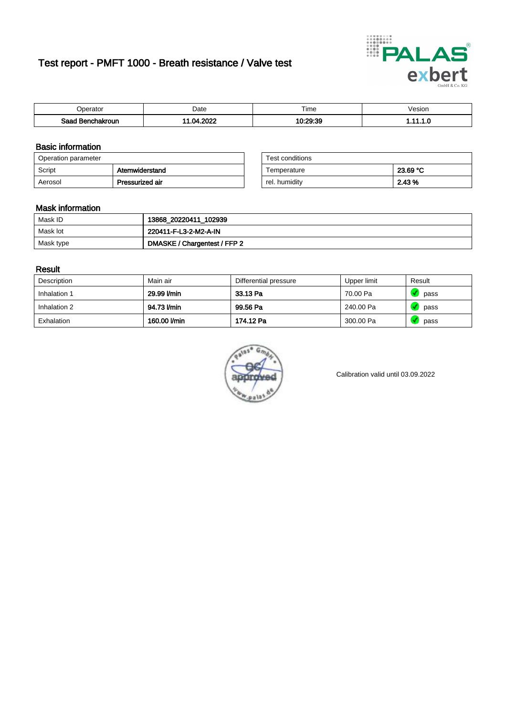# Test report - PMFT 1000 - Breath resistance / Valve test



| )perator               | Date            | $- \cdot$<br>Гіmе | esion |
|------------------------|-----------------|-------------------|-------|
| המס<br>hakroun<br>32 H | 2022<br>n.<br>. | 10.20.20<br>.     | .     |

### Basic information

| Operation parameter |                 | Test conditions |          |
|---------------------|-----------------|-----------------|----------|
| Script              | Atemwiderstand  | Temperature     | 23.69 °C |
| Aerosol             | Pressurized air | rel. humidity   | 2.43 %   |

| Test conditions |          |
|-----------------|----------|
| Temperature     | 23.69 °C |
| rel. humidity   | 2.43 %   |

#### Mask information

| Mask ID   | 13868_20220411_102939        |
|-----------|------------------------------|
| Mask lot  | 220411-F-L3-2-M2-A-IN        |
| Mask type | DMASKE / Chargentest / FFP 2 |

#### Result

| Description  | Main air     | Differential pressure | Upper limit | Result |
|--------------|--------------|-----------------------|-------------|--------|
| Inhalation 1 | 29.99 l/min  | 33.13 Pa              | 70.00 Pa    | pass   |
| Inhalation 2 | 94.73 I/min  | 99.56 Pa              | 240.00 Pa   | pass   |
| Exhalation   | 160.00 l/min | 174.12 Pa             | 300.00 Pa   | pass   |



Calibration valid until 03.09.2022